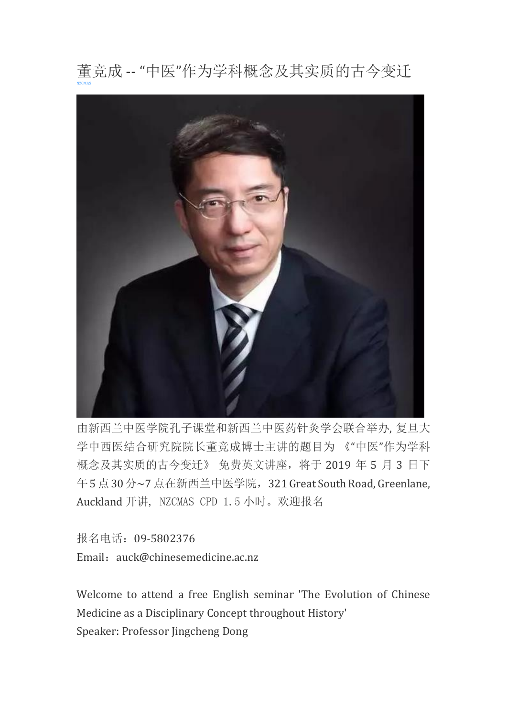

由新西兰中医学院孔子课堂和新西兰中医药针灸学会联合举办, 复旦大 学中西医结合研究院院长董竞成博士主讲的题目为 《"中医"作为学科 概念及其实质的古今变迁》 免费英文讲座,将于 2019 年 5 月 3 日下 午5点30分~7点在新西兰中医学院,321 Great South Road, Greenlane, Auckland 开讲, NZCMAS CPD 1.5 小时。欢迎报名

报名电话:09-5802376 Email: auck@chinesemedicine.ac.nz

Welcome to attend a free English seminar 'The Evolution of Chinese Medicine as a Disciplinary Concept throughout History' Speaker: Professor Jingcheng Dong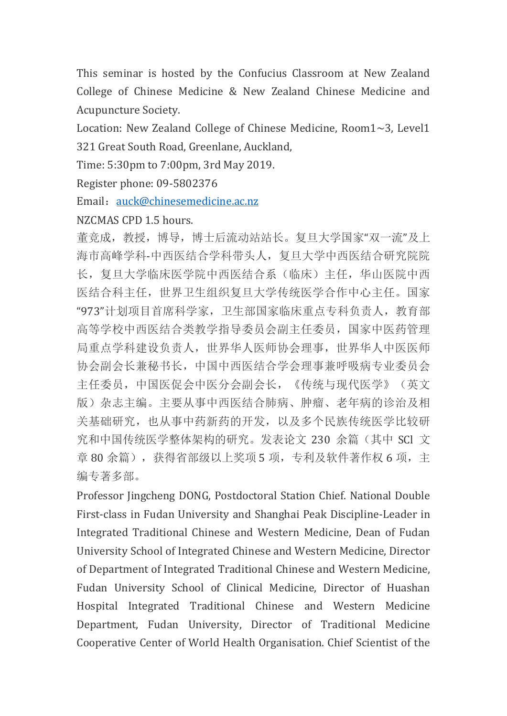This seminar is hosted by the Confucius Classroom at New Zealand College of Chinese Medicine & New Zealand Chinese Medicine and Acupuncture Society.

Location: New Zealand College of Chinese Medicine, Room1~3, Level1 321 Great South Road, Greenlane, Auckland,

Time: 5:30pm to 7:00pm, 3rd May 2019.

Register phone: 09-5802376

Email: [auck@chinesemedicine.ac.nz](mailto:auck@chinesemedicine.ac.nz)

## NZCMAS CPD 1.5 hours.

董竞成,教授,博导,博士后流动站站长。复旦大学国家"双一流"及上 海市高峰学科-中西医结合学科带头人,复旦大学中西医结合研究院院 长,复旦大学临床医学院中西医结合系(临床)主任,华山医院中西 医结合科主任,世界卫生组织复旦大学传统医学合作中心主任。国家 "973"计划项目首席科学家,卫生部国家临床重点专科负责人,教育部 高等学校中西医结合类教学指导委员会副主任委员,国家中医药管理 局重点学科建设负责人,世界华人医师协会理事,世界华人中医医师 协会副会长兼秘书长,中国中西医结合学会理事兼呼吸病专业委员会 主任委员,中国医促会中医分会副会长,《传统与现代医学》(英文 版)杂志主编。主要从事中西医结合肺病、肿瘤、老年病的诊治及相 关基础研究,也从事中药新药的开发,以及多个民族传统医学比较研 究和中国传统医学整体架构的研究。发表论文 230 余篇(其中 SCl 文 章 80余篇), 获得省部级以上奖项 5 项, 专利及软件著作权 6 项, 主 编专著多部。

Professor Jingcheng DONG, Postdoctoral Station Chief. National Double First-class in Fudan University and Shanghai Peak Discipline-Leader in Integrated Traditional Chinese and Western Medicine, Dean of Fudan University School of Integrated Chinese and Western Medicine, Director of Department of Integrated Traditional Chinese and Western Medicine, Fudan University School of Clinical Medicine, Director of Huashan Hospital Integrated Traditional Chinese and Western Medicine Department, Fudan University, Director of Traditional Medicine Cooperative Center of World Health Organisation. Chief Scientist of the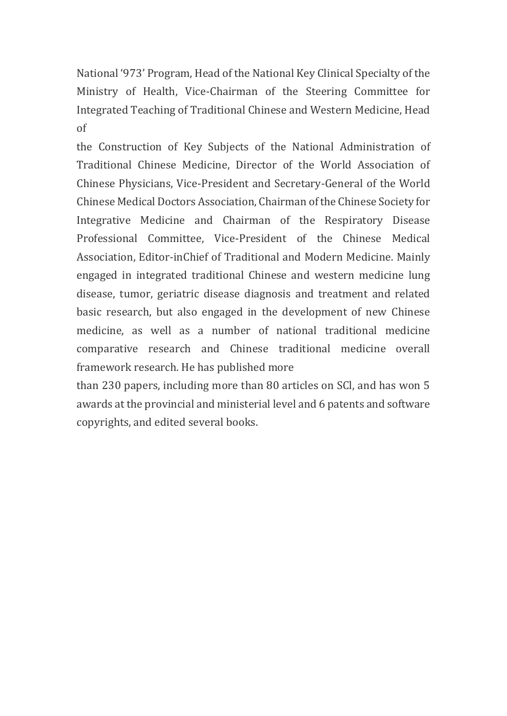National '973' Program, Head of the National Key Clinical Specialty of the Ministry of Health, Vice-Chairman of the Steering Committee for Integrated Teaching of Traditional Chinese and Western Medicine, Head of

the Construction of Key Subjects of the National Administration of Traditional Chinese Medicine, Director of the World Association of Chinese Physicians, Vice-President and Secretary-General of the World Chinese Medical Doctors Association, Chairman of the Chinese Society for Integrative Medicine and Chairman of the Respiratory Disease Professional Committee, Vice-President of the Chinese Medical Association, Editor-inChief of Traditional and Modern Medicine. Mainly engaged in integrated traditional Chinese and western medicine lung disease, tumor, geriatric disease diagnosis and treatment and related basic research, but also engaged in the development of new Chinese medicine, as well as a number of national traditional medicine comparative research and Chinese traditional medicine overall framework research. He has published more

than 230 papers, including more than 80 articles on SCl, and has won 5 awards at the provincial and ministerial level and 6 patents and software copyrights, and edited several books.